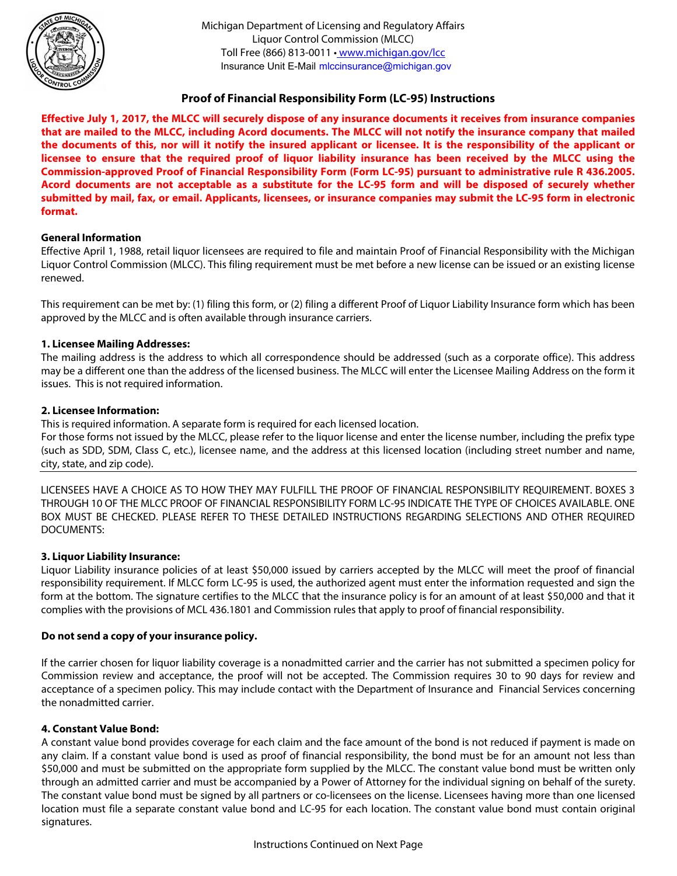

Insurance Unit E-Mail mlccinsurance@michigan.gov Michigan Department of Licensing and Regulatory Affairs Liquor Control Commission (MLCC) Toll Free (866) 813-0011 •<www.michigan.gov/lcc>

### **Proof of Financial Responsibility Form (LC-95) Instructions**

**Effective July 1, 2017, the MLCC will securely dispose of any insurance documents it receives from insurance companies that are mailed to the MLCC, including Acord documents. The MLCC will not notify the insurance company that mailed the documents of this, nor will it notify the insured applicant or licensee. It is the responsibility of the applicant or licensee to ensure that the required proof of liquor liability insurance has been received by the MLCC using the Commission-approved Proof of Financial Responsibility Form (Form LC-95) pursuant to administrative rule R 436.2005. Acord documents are not acceptable as a substitute for the LC-95 form and will be disposed of securely whether submitted by mail, fax, or email. Applicants, licensees, or insurance companies may submit the LC-95 form in electronic format.** 

#### **General Information**

Effective April 1, 1988, retail liquor licensees are required to file and maintain Proof of Financial Responsibility with the Michigan Liquor Control Commission (MLCC). This filing requirement must be met before a new license can be issued or an existing license renewed.

This requirement can be met by: (1) filing this form, or (2) filing a different Proof of Liquor Liability Insurance form which has been approved by the MLCC and is often available through insurance carriers.

#### **1. Licensee Mailing Addresses:**

The mailing address is the address to which all correspondence should be addressed (such as a corporate office). This address may be a different one than the address of the licensed business. The MLCC will enter the Licensee Mailing Address on the form it issues. This is not required information.

#### **2. Licensee Information:**

This is required information. A separate form is required for each licensed location.

For those forms not issued by the MLCC, please refer to the liquor license and enter the license number, including the prefix type (such as SDD, SDM, Class C, etc.), licensee name, and the address at this licensed location (including street number and name, city, state, and zip code).

LICENSEES HAVE A CHOICE AS TO HOW THEY MAY FULFILL THE PROOF OF FINANCIAL RESPONSIBILITY REQUIREMENT. BOXES 3 THROUGH 10 OF THE MLCC PROOF OF FINANCIAL RESPONSIBILITY FORM LC-95 INDICATE THE TYPE OF CHOICES AVAILABLE. ONE BOX MUST BE CHECKED. PLEASE REFER TO THESE DETAILED INSTRUCTIONS REGARDING SELECTIONS AND OTHER REQUIRED DOCUMENTS:

#### **3. Liquor Liability Insurance:**

Liquor Liability insurance policies of at least \$50,000 issued by carriers accepted by the MLCC will meet the proof of financial responsibility requirement. If MLCC form LC-95 is used, the authorized agent must enter the information requested and sign the form at the bottom. The signature certifies to the MLCC that the insurance policy is for an amount of at least \$50,000 and that it complies with the provisions of MCL 436.1801 and Commission rules that apply to proof of financial responsibility.

#### **Do not send a copy of your insurance policy.**

If the carrier chosen for liquor liability coverage is a nonadmitted carrier and the carrier has not submitted a specimen policy for Commission review and acceptance, the proof will not be accepted. The Commission requires 30 to 90 days for review and acceptance of a specimen policy. This may include contact with the Department of Insurance and Financial Services concerning the nonadmitted carrier.

#### **4. Constant Value Bond:**

A constant value bond provides coverage for each claim and the face amount of the bond is not reduced if payment is made on any claim. If a constant value bond is used as proof of financial responsibility, the bond must be for an amount not less than \$50,000 and must be submitted on the appropriate form supplied by the MLCC. The constant value bond must be written only through an admitted carrier and must be accompanied by a Power of Attorney for the individual signing on behalf of the surety. The constant value bond must be signed by all partners or co-licensees on the license. Licensees having more than one licensed location must file a separate constant value bond and LC-95 for each location. The constant value bond must contain original signatures.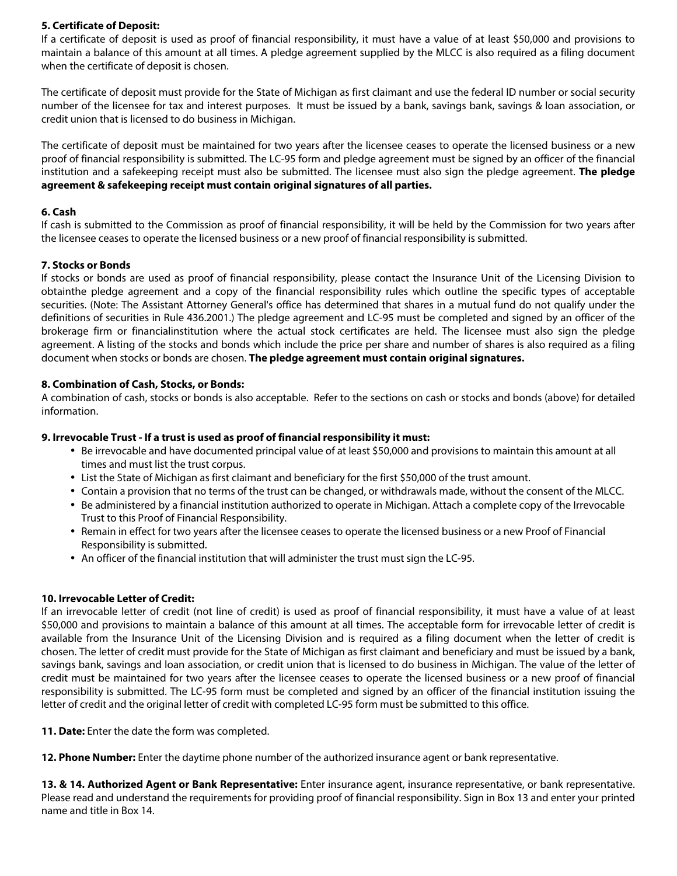#### **5. Certificate of Deposit:**

If a certificate of deposit is used as proof of financial responsibility, it must have a value of at least \$50,000 and provisions to maintain a balance of this amount at all times. A pledge agreement supplied by the MLCC is also required as a filing document when the certificate of deposit is chosen.

The certificate of deposit must provide for the State of Michigan as first claimant and use the federal ID number or social security number of the licensee for tax and interest purposes. It must be issued by a bank, savings bank, savings & loan association, or credit union that is licensed to do business in Michigan.

The certificate of deposit must be maintained for two years after the licensee ceases to operate the licensed business or a new proof of financial responsibility is submitted. The LC-95 form and pledge agreement must be signed by an officer of the financial institution and a safekeeping receipt must also be submitted. The licensee must also sign the pledge agreement. **The pledge agreement & safekeeping receipt must contain original signatures of all parties.** 

#### **6. Cash**

If cash is submitted to the Commission as proof of financial responsibility, it will be held by the Commission for two years after the licensee ceases to operate the licensed business or a new proof of financial responsibility is submitted.

#### **7. Stocks or Bonds**

If stocks or bonds are used as proof of financial responsibility, please contact the Insurance Unit of the Licensing Division to obtainthe pledge agreement and a copy of the financial responsibility rules which outline the specific types of acceptable securities. (Note: The Assistant Attorney General's office has determined that shares in a mutual fund do not qualify under the definitions of securities in Rule 436.2001.) The pledge agreement and LC-95 must be completed and signed by an officer of the brokerage firm or financialinstitution where the actual stock certificates are held. The licensee must also sign the pledge agreement. A listing of the stocks and bonds which include the price per share and number of shares is also required as a filing document when stocks or bonds are chosen. **The pledge agreement must contain original signatures.** 

#### **8. Combination of Cash, Stocks, or Bonds:**

A combination of cash, stocks or bonds is also acceptable. Refer to the sections on cash or stocks and bonds (above) for detailed information.

#### **9. Irrevocable Trust - If a trust is used as proof of financial responsibility it must:**

- Be irrevocable and have documented principal value of at least \$50,000 and provisions to maintain this amount at all times and must list the trust corpus.
- List the State of Michigan as first claimant and beneficiary for the first \$50,000 of the trust amount.
- Contain a provision that no terms of the trust can be changed, or withdrawals made, without the consent of the MLCC.
- Be administered by a financial institution authorized to operate in Michigan. Attach a complete copy of the Irrevocable Trust to this Proof of Financial Responsibility.
- Remain in effect for two years after the licensee ceases to operate the licensed business or a new Proof of Financial Responsibility is submitted.
- An officer of the financial institution that will administer the trust must sign the LC-95.

#### **10. Irrevocable Letter of Credit:**

If an irrevocable letter of credit (not line of credit) is used as proof of financial responsibility, it must have a value of at least \$50,000 and provisions to maintain a balance of this amount at all times. The acceptable form for irrevocable letter of credit is available from the Insurance Unit of the Licensing Division and is required as a filing document when the letter of credit is chosen. The letter of credit must provide for the State of Michigan as first claimant and beneficiary and must be issued by a bank, savings bank, savings and loan association, or credit union that is licensed to do business in Michigan. The value of the letter of credit must be maintained for two years after the licensee ceases to operate the licensed business or a new proof of financial responsibility is submitted. The LC-95 form must be completed and signed by an officer of the financial institution issuing the letter of credit and the original letter of credit with completed LC-95 form must be submitted to this office.

**11. Date:** Enter the date the form was completed.

**12. Phone Number:** Enter the daytime phone number of the authorized insurance agent or bank representative.

**13. & 14. Authorized Agent or Bank Representative:** Enter insurance agent, insurance representative, or bank representative. Please read and understand the requirements for providing proof of financial responsibility. Sign in Box 13 and enter your printed name and title in Box 14.